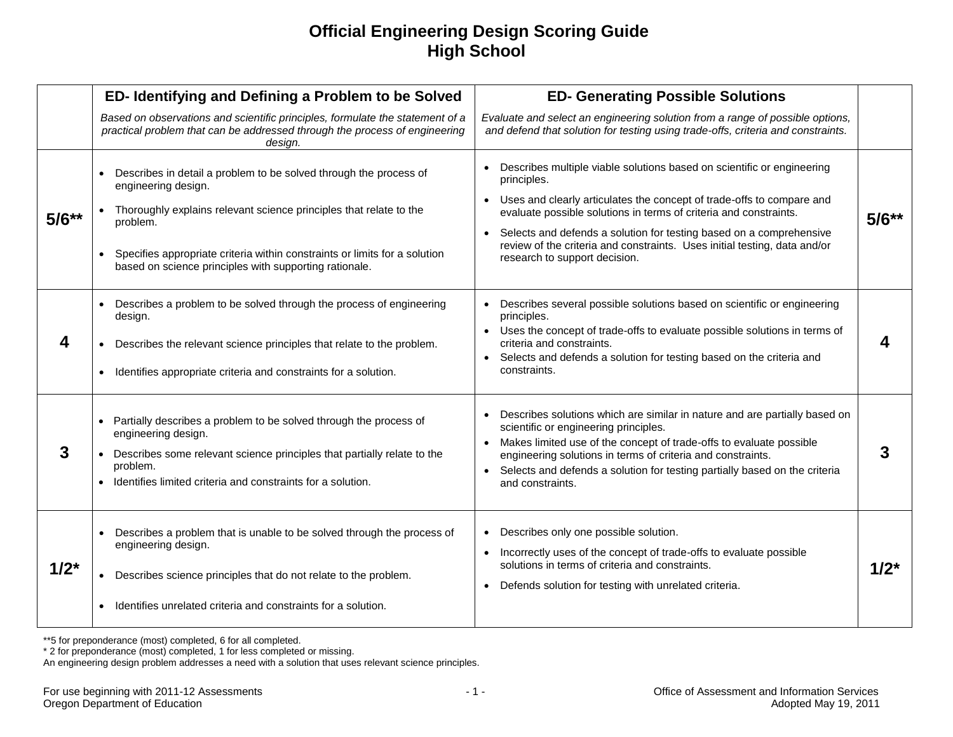## **Official Engineering Design Scoring Guide High School**

|           | ED- Identifying and Defining a Problem to be Solved                                                                                                                                                                                                                                                                                          | <b>ED- Generating Possible Solutions</b>                                                                                                                                                                                                                                                                                                                                                                                                                        |           |
|-----------|----------------------------------------------------------------------------------------------------------------------------------------------------------------------------------------------------------------------------------------------------------------------------------------------------------------------------------------------|-----------------------------------------------------------------------------------------------------------------------------------------------------------------------------------------------------------------------------------------------------------------------------------------------------------------------------------------------------------------------------------------------------------------------------------------------------------------|-----------|
|           | Based on observations and scientific principles, formulate the statement of a<br>practical problem that can be addressed through the process of engineering<br>design.                                                                                                                                                                       | Evaluate and select an engineering solution from a range of possible options,<br>and defend that solution for testing using trade-offs, criteria and constraints.                                                                                                                                                                                                                                                                                               |           |
| $5/6**$   | Describes in detail a problem to be solved through the process of<br>$\bullet$<br>engineering design.<br>Thoroughly explains relevant science principles that relate to the<br>problem.<br>Specifies appropriate criteria within constraints or limits for a solution<br>$\bullet$<br>based on science principles with supporting rationale. | Describes multiple viable solutions based on scientific or engineering<br>$\bullet$<br>principles.<br>Uses and clearly articulates the concept of trade-offs to compare and<br>$\bullet$<br>evaluate possible solutions in terms of criteria and constraints.<br>Selects and defends a solution for testing based on a comprehensive<br>$\bullet$<br>review of the criteria and constraints. Uses initial testing, data and/or<br>research to support decision. | $5/6**$   |
| 4         | Describes a problem to be solved through the process of engineering<br>$\bullet$<br>design.<br>Describes the relevant science principles that relate to the problem.<br>$\bullet$<br>Identifies appropriate criteria and constraints for a solution.<br>$\bullet$                                                                            | Describes several possible solutions based on scientific or engineering<br>$\bullet$<br>principles.<br>Uses the concept of trade-offs to evaluate possible solutions in terms of<br>$\bullet$<br>criteria and constraints.<br>Selects and defends a solution for testing based on the criteria and<br>$\bullet$<br>constraints.                                                                                                                                 |           |
| 3         | Partially describes a problem to be solved through the process of<br>$\bullet$<br>engineering design.<br>Describes some relevant science principles that partially relate to the<br>problem.<br>Identifies limited criteria and constraints for a solution.                                                                                  | Describes solutions which are similar in nature and are partially based on<br>$\bullet$<br>scientific or engineering principles.<br>Makes limited use of the concept of trade-offs to evaluate possible<br>$\bullet$<br>engineering solutions in terms of criteria and constraints.<br>Selects and defends a solution for testing partially based on the criteria<br>$\bullet$<br>and constraints.                                                              | 3         |
| $1/2^{*}$ | Describes a problem that is unable to be solved through the process of<br>$\bullet$<br>engineering design.<br>Describes science principles that do not relate to the problem.<br>Identifies unrelated criteria and constraints for a solution.<br>$\bullet$                                                                                  | Describes only one possible solution.<br>$\bullet$<br>Incorrectly uses of the concept of trade-offs to evaluate possible<br>$\bullet$<br>solutions in terms of criteria and constraints.<br>Defends solution for testing with unrelated criteria.<br>$\bullet$                                                                                                                                                                                                  | $1/2^{*}$ |

\*\*5 for preponderance (most) completed, 6 for all completed.

\* 2 for preponderance (most) completed, 1 for less completed or missing.

An engineering design problem addresses a need with a solution that uses relevant science principles.